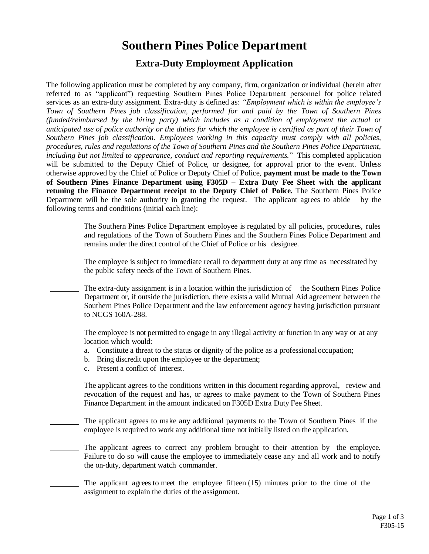# **Southern Pines Police Department**

### **Extra-Duty Employment Application**

The following application must be completed by any company, firm, organization or individual (herein after referred to as "applicant") requesting Southern Pines Police Department personnel for police related services as an extra-duty assignment. Extra-duty is defined as: *"Employment which is within the employee's Town of Southern Pines job classification, performed for and paid by the Town of Southern Pines (funded/reimbursed by the hiring party) which includes as a condition of employment the actual or anticipated use of police authority or the duties for which the employee is certified as part of their Town of Southern Pines job classification. Employees working in this capacity must comply with all policies, procedures, rules and regulations of the Town of Southern Pines and the Southern Pines Police Department, including but not limited to appearance, conduct and reporting requirements.*" This completed application will be submitted to the Deputy Chief of Police, or designee, for approval prior to the event. Unless otherwise approved by the Chief of Police or Deputy Chief of Police, **payment must be made to the Town of Southern Pines Finance Department using F305D – Extra Duty Fee Sheet with the applicant retuning the Finance Department receipt to the Deputy Chief of Police.** The Southern Pines Police Department will be the sole authority in granting the request. The applicant agrees to abide by the following terms and conditions (initial each line):

- The Southern Pines Police Department employee is regulated by all policies, procedures, rules and regulations of the Town of Southern Pines and the Southern Pines Police Department and remains under the direct control of the Chief of Police or his designee.
- The employee is subject to immediate recall to department duty at any time as necessitated by the public safety needs of the Town of Southern Pines.
- The extra-duty assignment is in a location within the jurisdiction of the Southern Pines Police Department or, if outside the jurisdiction, there exists a valid Mutual Aid agreement between the Southern Pines Police Department and the law enforcement agency having jurisdiction pursuant to NCGS 160A-288.
	- The employee is not permitted to engage in any illegal activity or function in any way or at any location which would:
		- a. Constitute a threat to the status or dignity of the police as a professional occupation;
		- b. Bring discredit upon the employee or the department;
		- c. Present a conflict of interest.
		- The applicant agrees to the conditions written in this document regarding approval, review and revocation of the request and has, or agrees to make payment to the Town of Southern Pines Finance Department in the amount indicated on F305D Extra Duty Fee Sheet.
			- The applicant agrees to make any additional payments to the Town of Southern Pines if the employee is required to work any additional time not initially listed on the application.
		- The applicant agrees to correct any problem brought to their attention by the employee. Failure to do so will cause the employee to immediately cease any and all work and to notify the on-duty, department watch commander.
	- The applicant agrees to meet the employee fifteen (15) minutes prior to the time of the assignment to explain the duties of the assignment.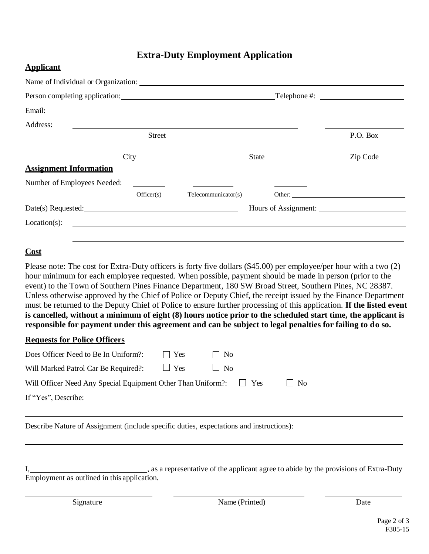## **Extra-Duty Employment Application**

#### **Applicant**

| Name of Individual or Organization: |               |                     |                            |          |
|-------------------------------------|---------------|---------------------|----------------------------|----------|
|                                     |               |                     | $\Box$ Telephone #: $\Box$ |          |
| Email:                              |               |                     |                            |          |
| Address:                            |               |                     |                            |          |
|                                     | <b>Street</b> |                     |                            | P.O. Box |
|                                     | City          |                     | State                      | Zip Code |
| <b>Assignment Information</b>       |               |                     |                            |          |
| Number of Employees Needed:         |               |                     |                            |          |
|                                     | Officer(s)    | Telecommunicator(s) |                            | Other:   |
| Date(s) Requested:                  |               |                     |                            |          |
| Location(s):                        |               |                     |                            |          |

#### **Cost**

Please note: The cost for Extra-Duty officers is forty five dollars (\$45.00) per employee/per hour with a two (2) hour minimum for each employee requested. When possible, payment should be made in person (prior to the event) to the Town of Southern Pines Finance Department, 180 SW Broad Street, Southern Pines, NC 28387. Unless otherwise approved by the Chief of Police or Deputy Chief, the receipt issued by the Finance Department must be returned to the Deputy Chief of Police to ensure further processing of this application. **If the listed event is cancelled, without a minimum of eight (8) hours notice prior to the scheduled start time, the applicant is responsible for payment under this agreement and can be subject to legal penalties for failing to do so.** 

#### **Requests for Police Officers**

| Does Officer Need to Be In Uniform?:                                    | $\blacksquare$ $\blacksquare$ Yes | $\overline{\phantom{a}}$ No |                |
|-------------------------------------------------------------------------|-----------------------------------|-----------------------------|----------------|
| Will Marked Patrol Car Be Required?:                                    | Yes                               | $\Box$ No                   |                |
| Will Officer Need Any Special Equipment Other Than Uniform?: $\Box$ Yes |                                   |                             | $\mathsf{N}_0$ |
| If "Yes", Describe:                                                     |                                   |                             |                |

Describe Nature of Assignment (include specific duties, expectations and instructions):

I, 1. 2012 1. As a representative of the applicant agree to abide by the provisions of Extra-Duty Employment as outlined in this application.